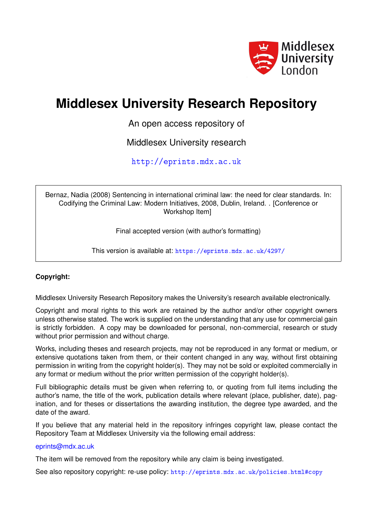

## **Middlesex University Research Repository**

An open access repository of

Middlesex University research

<http://eprints.mdx.ac.uk>

Bernaz, Nadia (2008) Sentencing in international criminal law: the need for clear standards. In: Codifying the Criminal Law: Modern Initiatives, 2008, Dublin, Ireland. . [Conference or Workshop Item]

Final accepted version (with author's formatting)

This version is available at: <https://eprints.mdx.ac.uk/4297/>

## **Copyright:**

Middlesex University Research Repository makes the University's research available electronically.

Copyright and moral rights to this work are retained by the author and/or other copyright owners unless otherwise stated. The work is supplied on the understanding that any use for commercial gain is strictly forbidden. A copy may be downloaded for personal, non-commercial, research or study without prior permission and without charge.

Works, including theses and research projects, may not be reproduced in any format or medium, or extensive quotations taken from them, or their content changed in any way, without first obtaining permission in writing from the copyright holder(s). They may not be sold or exploited commercially in any format or medium without the prior written permission of the copyright holder(s).

Full bibliographic details must be given when referring to, or quoting from full items including the author's name, the title of the work, publication details where relevant (place, publisher, date), pagination, and for theses or dissertations the awarding institution, the degree type awarded, and the date of the award.

If you believe that any material held in the repository infringes copyright law, please contact the Repository Team at Middlesex University via the following email address:

## [eprints@mdx.ac.uk](mailto:eprints@mdx.ac.uk)

The item will be removed from the repository while any claim is being investigated.

See also repository copyright: re-use policy: <http://eprints.mdx.ac.uk/policies.html#copy>